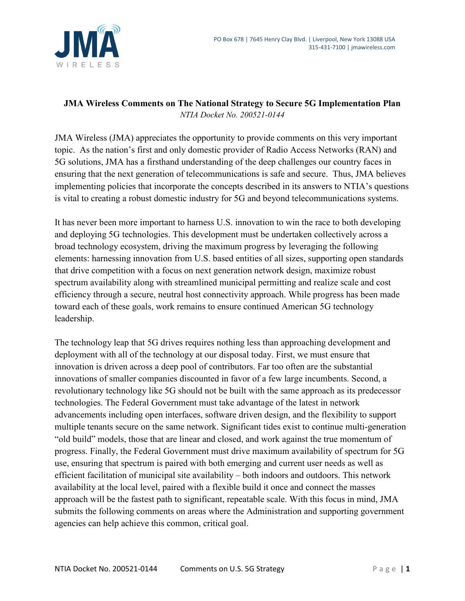

# **JMA Wireless Comments on The National Strategy to Secure 5G Implementation Plan** *NTIA Docket No. 200521-0144*

JMA Wireless (JMA) appreciates the opportunity to provide comments on this very important topic. As the nation's first and only domestic provider of Radio Access Networks (RAN) and 5G solutions, JMA has a firsthand understanding of the deep challenges our country faces in ensuring that the next generation of telecommunications is safe and secure. Thus, JMA believes implementing policies that incorporate the concepts described in its answers to NTIA's questions is vital to creating a robust domestic industry for 5G and beyond telecommunications systems.

It has never been more important to harness U.S. innovation to win the race to both developing and deploying 5G technologies. This development must be undertaken collectively across a broad technology ecosystem, driving the maximum progress by leveraging the following elements: harnessing innovation from U.S. based entities of all sizes, supporting open standards that drive competition with a focus on next generation network design, maximize robust spectrum availability along with streamlined municipal permitting and realize scale and cost efficiency through a secure, neutral host connectivity approach. While progress has been made toward each of these goals, work remains to ensure continued American 5G technology leadership.

The technology leap that 5G drives requires nothing less than approaching development and deployment with all of the technology at our disposal today. First, we must ensure that innovation is driven across a deep pool of contributors. Far too often are the substantial innovations of smaller companies discounted in favor of a few large incumbents. Second, a revolutionary technology like 5G should not be built with the same approach as its predecessor technologies. The Federal Government must take advantage of the latest in network advancements including open interfaces, software driven design, and the flexibility to support multiple tenants secure on the same network. Significant tides exist to continue multi-generation "old build" models, those that are linear and closed, and work against the true momentum of progress. Finally, the Federal Government must drive maximum availability of spectrum for 5G use, ensuring that spectrum is paired with both emerging and current user needs as well as efficient facilitation of municipal site availability – both indoors and outdoors. This network availability at the local level, paired with a flexible build it once and connect the masses approach will be the fastest path to significant, repeatable scale. With this focus in mind, JMA submits the following comments on areas where the Administration and supporting government agencies can help achieve this common, critical goal.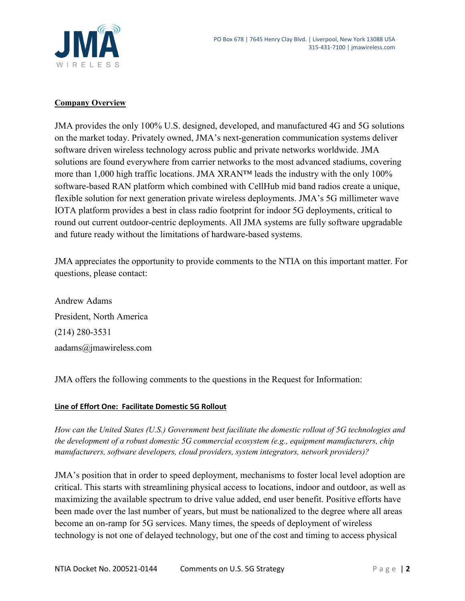

### **Company Overview**

JMA provides the only 100% U.S. designed, developed, and manufactured 4G and 5G solutions on the market today. Privately owned, JMA's next-generation communication systems deliver software driven wireless technology across public and private networks worldwide. JMA solutions are found everywhere from carrier networks to the most advanced stadiums, covering more than 1,000 high traffic locations. JMA XRAN™ leads the industry with the only 100% software-based RAN platform which combined with CellHub mid band radios create a unique, flexible solution for next generation private wireless deployments. JMA's 5G millimeter wave IOTA platform provides a best in class radio footprint for indoor 5G deployments, critical to round out current outdoor-centric deployments. All JMA systems are fully software upgradable and future ready without the limitations of hardware-based systems.

JMA appreciates the opportunity to provide comments to the NTIA on this important matter. For questions, please contact:

Andrew Adams President, North America (214) 280-3531 aadams@jmawireless.com

JMA offers the following comments to the questions in the Request for Information:

### **Line of Effort One: Facilitate Domestic 5G Rollout**

*How can the United States (U.S.) Government best facilitate the domestic rollout of 5G technologies and the development of a robust domestic 5G commercial ecosystem (e.g., equipment manufacturers, chip manufacturers, software developers, cloud providers, system integrators, network providers)?*

JMA's position that in order to speed deployment, mechanisms to foster local level adoption are critical. This starts with streamlining physical access to locations, indoor and outdoor, as well as maximizing the available spectrum to drive value added, end user benefit. Positive efforts have been made over the last number of years, but must be nationalized to the degree where all areas become an on-ramp for 5G services. Many times, the speeds of deployment of wireless technology is not one of delayed technology, but one of the cost and timing to access physical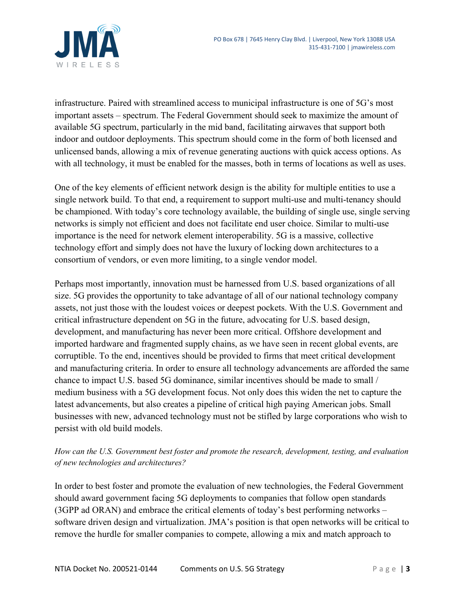

infrastructure. Paired with streamlined access to municipal infrastructure is one of 5G's most important assets – spectrum. The Federal Government should seek to maximize the amount of available 5G spectrum, particularly in the mid band, facilitating airwaves that support both indoor and outdoor deployments. This spectrum should come in the form of both licensed and unlicensed bands, allowing a mix of revenue generating auctions with quick access options. As with all technology, it must be enabled for the masses, both in terms of locations as well as uses.

One of the key elements of efficient network design is the ability for multiple entities to use a single network build. To that end, a requirement to support multi-use and multi-tenancy should be championed. With today's core technology available, the building of single use, single serving networks is simply not efficient and does not facilitate end user choice. Similar to multi-use importance is the need for network element interoperability. 5G is a massive, collective technology effort and simply does not have the luxury of locking down architectures to a consortium of vendors, or even more limiting, to a single vendor model.

Perhaps most importantly, innovation must be harnessed from U.S. based organizations of all size. 5G provides the opportunity to take advantage of all of our national technology company assets, not just those with the loudest voices or deepest pockets. With the U.S. Government and critical infrastructure dependent on 5G in the future, advocating for U.S. based design, development, and manufacturing has never been more critical. Offshore development and imported hardware and fragmented supply chains, as we have seen in recent global events, are corruptible. To the end, incentives should be provided to firms that meet critical development and manufacturing criteria. In order to ensure all technology advancements are afforded the same chance to impact U.S. based 5G dominance, similar incentives should be made to small / medium business with a 5G development focus. Not only does this widen the net to capture the latest advancements, but also creates a pipeline of critical high paying American jobs. Small businesses with new, advanced technology must not be stifled by large corporations who wish to persist with old build models.

# *How can the U.S. Government best foster and promote the research, development, testing, and evaluation of new technologies and architectures?*

In order to best foster and promote the evaluation of new technologies, the Federal Government should award government facing 5G deployments to companies that follow open standards (3GPP ad ORAN) and embrace the critical elements of today's best performing networks – software driven design and virtualization. JMA's position is that open networks will be critical to remove the hurdle for smaller companies to compete, allowing a mix and match approach to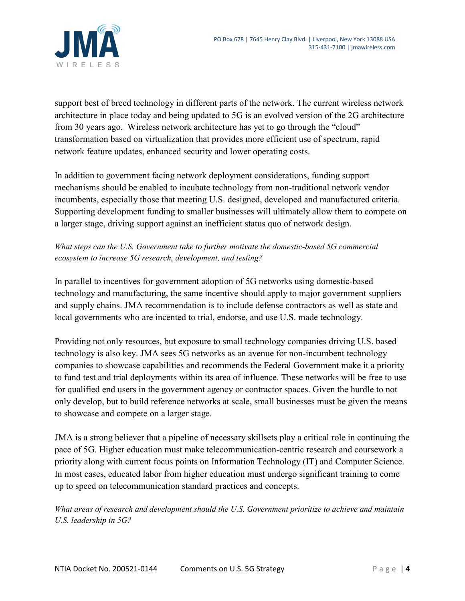

support best of breed technology in different parts of the network. The current wireless network architecture in place today and being updated to 5G is an evolved version of the 2G architecture from 30 years ago. Wireless network architecture has yet to go through the "cloud" transformation based on virtualization that provides more efficient use of spectrum, rapid network feature updates, enhanced security and lower operating costs.

In addition to government facing network deployment considerations, funding support mechanisms should be enabled to incubate technology from non-traditional network vendor incumbents, especially those that meeting U.S. designed, developed and manufactured criteria. Supporting development funding to smaller businesses will ultimately allow them to compete on a larger stage, driving support against an inefficient status quo of network design.

# *What steps can the U.S. Government take to further motivate the domestic-based 5G commercial ecosystem to increase 5G research, development, and testing?*

In parallel to incentives for government adoption of 5G networks using domestic-based technology and manufacturing, the same incentive should apply to major government suppliers and supply chains. JMA recommendation is to include defense contractors as well as state and local governments who are incented to trial, endorse, and use U.S. made technology.

Providing not only resources, but exposure to small technology companies driving U.S. based technology is also key. JMA sees 5G networks as an avenue for non-incumbent technology companies to showcase capabilities and recommends the Federal Government make it a priority to fund test and trial deployments within its area of influence. These networks will be free to use for qualified end users in the government agency or contractor spaces. Given the hurdle to not only develop, but to build reference networks at scale, small businesses must be given the means to showcase and compete on a larger stage.

JMA is a strong believer that a pipeline of necessary skillsets play a critical role in continuing the pace of 5G. Higher education must make telecommunication-centric research and coursework a priority along with current focus points on Information Technology (IT) and Computer Science. In most cases, educated labor from higher education must undergo significant training to come up to speed on telecommunication standard practices and concepts.

*What areas of research and development should the U.S. Government prioritize to achieve and maintain U.S. leadership in 5G?*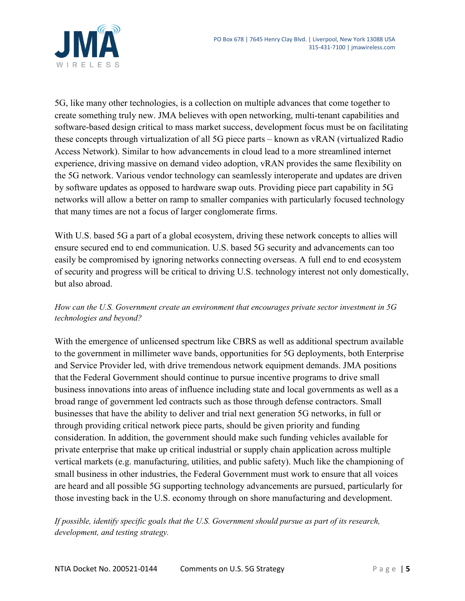

5G, like many other technologies, is a collection on multiple advances that come together to create something truly new. JMA believes with open networking, multi-tenant capabilities and software-based design critical to mass market success, development focus must be on facilitating these concepts through virtualization of all 5G piece parts – known as vRAN (virtualized Radio Access Network). Similar to how advancements in cloud lead to a more streamlined internet experience, driving massive on demand video adoption, vRAN provides the same flexibility on the 5G network. Various vendor technology can seamlessly interoperate and updates are driven by software updates as opposed to hardware swap outs. Providing piece part capability in 5G networks will allow a better on ramp to smaller companies with particularly focused technology that many times are not a focus of larger conglomerate firms.

With U.S. based 5G a part of a global ecosystem, driving these network concepts to allies will ensure secured end to end communication. U.S. based 5G security and advancements can too easily be compromised by ignoring networks connecting overseas. A full end to end ecosystem of security and progress will be critical to driving U.S. technology interest not only domestically, but also abroad.

# *How can the U.S. Government create an environment that encourages private sector investment in 5G technologies and beyond?*

With the emergence of unlicensed spectrum like CBRS as well as additional spectrum available to the government in millimeter wave bands, opportunities for 5G deployments, both Enterprise and Service Provider led, with drive tremendous network equipment demands. JMA positions that the Federal Government should continue to pursue incentive programs to drive small business innovations into areas of influence including state and local governments as well as a broad range of government led contracts such as those through defense contractors. Small businesses that have the ability to deliver and trial next generation 5G networks, in full or through providing critical network piece parts, should be given priority and funding consideration. In addition, the government should make such funding vehicles available for private enterprise that make up critical industrial or supply chain application across multiple vertical markets (e.g. manufacturing, utilities, and public safety). Much like the championing of small business in other industries, the Federal Government must work to ensure that all voices are heard and all possible 5G supporting technology advancements are pursued, particularly for those investing back in the U.S. economy through on shore manufacturing and development.

*If possible, identify specific goals that the U.S. Government should pursue as part of its research, development, and testing strategy.*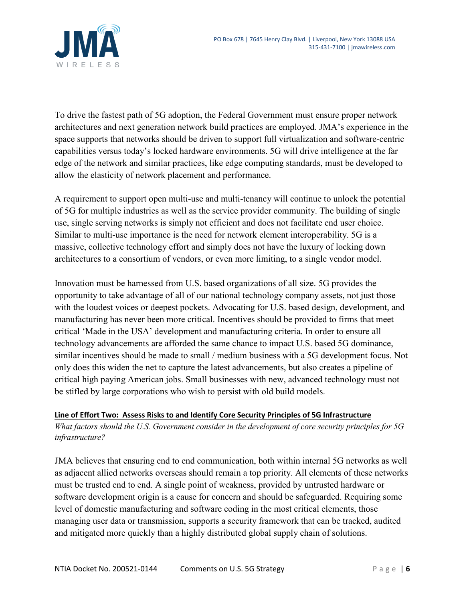

To drive the fastest path of 5G adoption, the Federal Government must ensure proper network architectures and next generation network build practices are employed. JMA's experience in the space supports that networks should be driven to support full virtualization and software-centric capabilities versus today's locked hardware environments. 5G will drive intelligence at the far edge of the network and similar practices, like edge computing standards, must be developed to allow the elasticity of network placement and performance.

A requirement to support open multi-use and multi-tenancy will continue to unlock the potential of 5G for multiple industries as well as the service provider community. The building of single use, single serving networks is simply not efficient and does not facilitate end user choice. Similar to multi-use importance is the need for network element interoperability. 5G is a massive, collective technology effort and simply does not have the luxury of locking down architectures to a consortium of vendors, or even more limiting, to a single vendor model.

Innovation must be harnessed from U.S. based organizations of all size. 5G provides the opportunity to take advantage of all of our national technology company assets, not just those with the loudest voices or deepest pockets. Advocating for U.S. based design, development, and manufacturing has never been more critical. Incentives should be provided to firms that meet critical 'Made in the USA' development and manufacturing criteria. In order to ensure all technology advancements are afforded the same chance to impact U.S. based 5G dominance, similar incentives should be made to small / medium business with a 5G development focus. Not only does this widen the net to capture the latest advancements, but also creates a pipeline of critical high paying American jobs. Small businesses with new, advanced technology must not be stifled by large corporations who wish to persist with old build models.

#### **Line of Effort Two: Assess Risks to and Identify Core Security Principles of 5G Infrastructure**

*What factors should the U.S. Government consider in the development of core security principles for 5G infrastructure?*

JMA believes that ensuring end to end communication, both within internal 5G networks as well as adjacent allied networks overseas should remain a top priority. All elements of these networks must be trusted end to end. A single point of weakness, provided by untrusted hardware or software development origin is a cause for concern and should be safeguarded. Requiring some level of domestic manufacturing and software coding in the most critical elements, those managing user data or transmission, supports a security framework that can be tracked, audited and mitigated more quickly than a highly distributed global supply chain of solutions.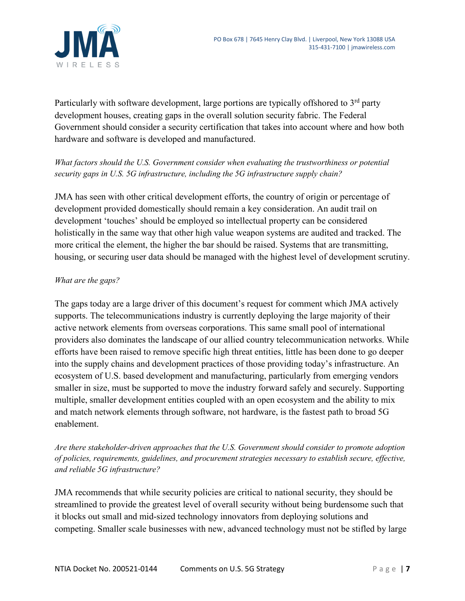

Particularly with software development, large portions are typically offshored to  $3<sup>rd</sup>$  party development houses, creating gaps in the overall solution security fabric. The Federal Government should consider a security certification that takes into account where and how both hardware and software is developed and manufactured.

# *What factors should the U.S. Government consider when evaluating the trustworthiness or potential security gaps in U.S. 5G infrastructure, including the 5G infrastructure supply chain?*

JMA has seen with other critical development efforts, the country of origin or percentage of development provided domestically should remain a key consideration. An audit trail on development 'touches' should be employed so intellectual property can be considered holistically in the same way that other high value weapon systems are audited and tracked. The more critical the element, the higher the bar should be raised. Systems that are transmitting, housing, or securing user data should be managed with the highest level of development scrutiny.

### *What are the gaps?*

The gaps today are a large driver of this document's request for comment which JMA actively supports. The telecommunications industry is currently deploying the large majority of their active network elements from overseas corporations. This same small pool of international providers also dominates the landscape of our allied country telecommunication networks. While efforts have been raised to remove specific high threat entities, little has been done to go deeper into the supply chains and development practices of those providing today's infrastructure. An ecosystem of U.S. based development and manufacturing, particularly from emerging vendors smaller in size, must be supported to move the industry forward safely and securely. Supporting multiple, smaller development entities coupled with an open ecosystem and the ability to mix and match network elements through software, not hardware, is the fastest path to broad 5G enablement.

*Are there stakeholder-driven approaches that the U.S. Government should consider to promote adoption of policies, requirements, guidelines, and procurement strategies necessary to establish secure, effective, and reliable 5G infrastructure?*

JMA recommends that while security policies are critical to national security, they should be streamlined to provide the greatest level of overall security without being burdensome such that it blocks out small and mid-sized technology innovators from deploying solutions and competing. Smaller scale businesses with new, advanced technology must not be stifled by large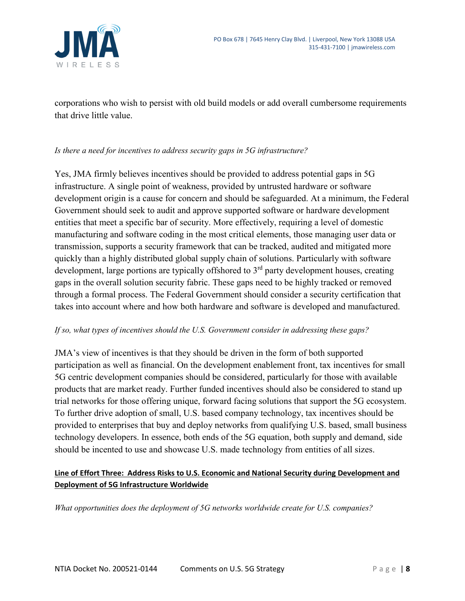

corporations who wish to persist with old build models or add overall cumbersome requirements that drive little value.

#### *Is there a need for incentives to address security gaps in 5G infrastructure?*

Yes, JMA firmly believes incentives should be provided to address potential gaps in 5G infrastructure. A single point of weakness, provided by untrusted hardware or software development origin is a cause for concern and should be safeguarded. At a minimum, the Federal Government should seek to audit and approve supported software or hardware development entities that meet a specific bar of security. More effectively, requiring a level of domestic manufacturing and software coding in the most critical elements, those managing user data or transmission, supports a security framework that can be tracked, audited and mitigated more quickly than a highly distributed global supply chain of solutions. Particularly with software development, large portions are typically offshored to  $3<sup>rd</sup>$  party development houses, creating gaps in the overall solution security fabric. These gaps need to be highly tracked or removed through a formal process. The Federal Government should consider a security certification that takes into account where and how both hardware and software is developed and manufactured.

#### *If so, what types of incentives should the U.S. Government consider in addressing these gaps?*

JMA's view of incentives is that they should be driven in the form of both supported participation as well as financial. On the development enablement front, tax incentives for small 5G centric development companies should be considered, particularly for those with available products that are market ready. Further funded incentives should also be considered to stand up trial networks for those offering unique, forward facing solutions that support the 5G ecosystem. To further drive adoption of small, U.S. based company technology, tax incentives should be provided to enterprises that buy and deploy networks from qualifying U.S. based, small business technology developers. In essence, both ends of the 5G equation, both supply and demand, side should be incented to use and showcase U.S. made technology from entities of all sizes.

### **Line of Effort Three: Address Risks to U.S. Economic and National Security during Development and Deployment of 5G Infrastructure Worldwide**

*What opportunities does the deployment of 5G networks worldwide create for U.S. companies?*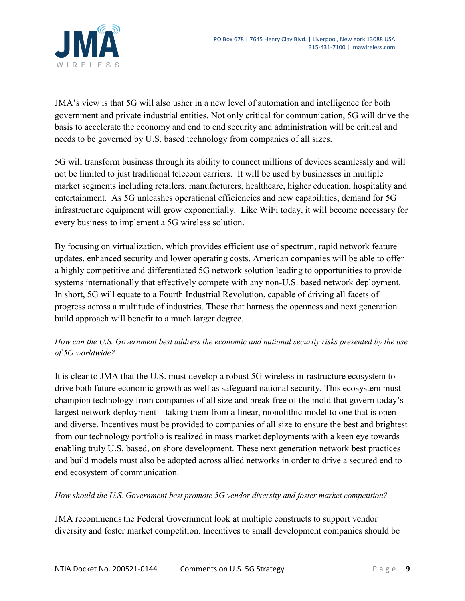

JMA's view is that 5G will also usher in a new level of automation and intelligence for both government and private industrial entities. Not only critical for communication, 5G will drive the basis to accelerate the economy and end to end security and administration will be critical and needs to be governed by U.S. based technology from companies of all sizes.

5G will transform business through its ability to connect millions of devices seamlessly and will not be limited to just traditional telecom carriers. It will be used by businesses in multiple market segments including retailers, manufacturers, healthcare, higher education, hospitality and entertainment. As 5G unleashes operational efficiencies and new capabilities, demand for 5G infrastructure equipment will grow exponentially. Like WiFi today, it will become necessary for every business to implement a 5G wireless solution.

By focusing on virtualization, which provides efficient use of spectrum, rapid network feature updates, enhanced security and lower operating costs, American companies will be able to offer a highly competitive and differentiated 5G network solution leading to opportunities to provide systems internationally that effectively compete with any non-U.S. based network deployment. In short, 5G will equate to a Fourth Industrial Revolution, capable of driving all facets of progress across a multitude of industries. Those that harness the openness and next generation build approach will benefit to a much larger degree.

# *How can the U.S. Government best address the economic and national security risks presented by the use of 5G worldwide?*

It is clear to JMA that the U.S. must develop a robust 5G wireless infrastructure ecosystem to drive both future economic growth as well as safeguard national security. This ecosystem must champion technology from companies of all size and break free of the mold that govern today's largest network deployment – taking them from a linear, monolithic model to one that is open and diverse. Incentives must be provided to companies of all size to ensure the best and brightest from our technology portfolio is realized in mass market deployments with a keen eye towards enabling truly U.S. based, on shore development. These next generation network best practices and build models must also be adopted across allied networks in order to drive a secured end to end ecosystem of communication.

*How should the U.S. Government best promote 5G vendor diversity and foster market competition?*

JMA recommends the Federal Government look at multiple constructs to support vendor diversity and foster market competition. Incentives to small development companies should be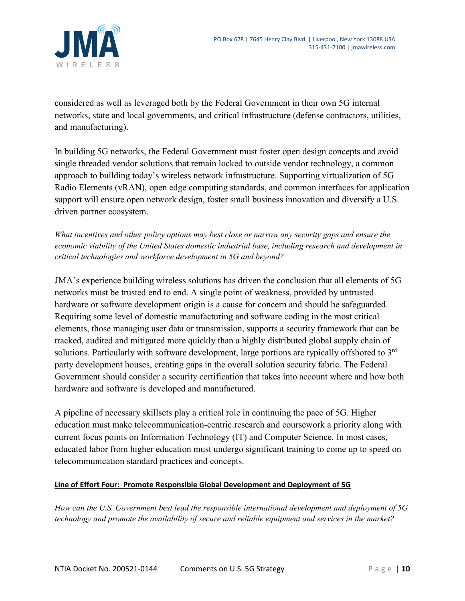

considered as well as leveraged both by the Federal Government in their own 5G internal networks, state and local governments, and critical infrastructure (defense contractors, utilities, and manufacturing).

In building 5G networks, the Federal Government must foster open design concepts and avoid single threaded vendor solutions that remain locked to outside vendor technology, a common approach to building today's wireless network infrastructure. Supporting virtualization of 5G Radio Elements (vRAN), open edge computing standards, and common interfaces for application support will ensure open network design, foster small business innovation and diversify a U.S. driven partner ecosystem.

*What incentives and other policy options may best close or narrow any security gaps and ensure the economic viability of the United States domestic industrial base, including research and development in critical technologies and workforce development in 5G and beyond?*

JMA's experience building wireless solutions has driven the conclusion that all elements of 5G networks must be trusted end to end. A single point of weakness, provided by untrusted hardware or software development origin is a cause for concern and should be safeguarded. Requiring some level of domestic manufacturing and software coding in the most critical elements, those managing user data or transmission, supports a security framework that can be tracked, audited and mitigated more quickly than a highly distributed global supply chain of solutions. Particularly with software development, large portions are typically offshored to 3<sup>rd</sup> party development houses, creating gaps in the overall solution security fabric. The Federal Government should consider a security certification that takes into account where and how both hardware and software is developed and manufactured.

A pipeline of necessary skillsets play a critical role in continuing the pace of 5G. Higher education must make telecommunication-centric research and coursework a priority along with current focus points on Information Technology (IT) and Computer Science. In most cases, educated labor from higher education must undergo significant training to come up to speed on telecommunication standard practices and concepts.

#### **Line of Effort Four: Promote Responsible Global Development and Deployment of 5G**

*How can the U.S. Government best lead the responsible international development and deployment of 5G technology and promote the availability of secure and reliable equipment and services in the market?*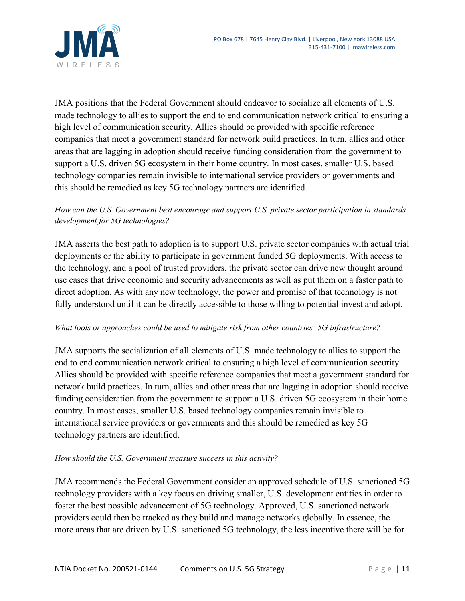

JMA positions that the Federal Government should endeavor to socialize all elements of U.S. made technology to allies to support the end to end communication network critical to ensuring a high level of communication security. Allies should be provided with specific reference companies that meet a government standard for network build practices. In turn, allies and other areas that are lagging in adoption should receive funding consideration from the government to support a U.S. driven 5G ecosystem in their home country. In most cases, smaller U.S. based technology companies remain invisible to international service providers or governments and this should be remedied as key 5G technology partners are identified.

# *How can the U.S. Government best encourage and support U.S. private sector participation in standards development for 5G technologies?*

JMA asserts the best path to adoption is to support U.S. private sector companies with actual trial deployments or the ability to participate in government funded 5G deployments. With access to the technology, and a pool of trusted providers, the private sector can drive new thought around use cases that drive economic and security advancements as well as put them on a faster path to direct adoption. As with any new technology, the power and promise of that technology is not fully understood until it can be directly accessible to those willing to potential invest and adopt.

### *What tools or approaches could be used to mitigate risk from other countries' 5G infrastructure?*

JMA supports the socialization of all elements of U.S. made technology to allies to support the end to end communication network critical to ensuring a high level of communication security. Allies should be provided with specific reference companies that meet a government standard for network build practices. In turn, allies and other areas that are lagging in adoption should receive funding consideration from the government to support a U.S. driven 5G ecosystem in their home country. In most cases, smaller U.S. based technology companies remain invisible to international service providers or governments and this should be remedied as key 5G technology partners are identified.

### *How should the U.S. Government measure success in this activity?*

JMA recommends the Federal Government consider an approved schedule of U.S. sanctioned 5G technology providers with a key focus on driving smaller, U.S. development entities in order to foster the best possible advancement of 5G technology. Approved, U.S. sanctioned network providers could then be tracked as they build and manage networks globally. In essence, the more areas that are driven by U.S. sanctioned 5G technology, the less incentive there will be for